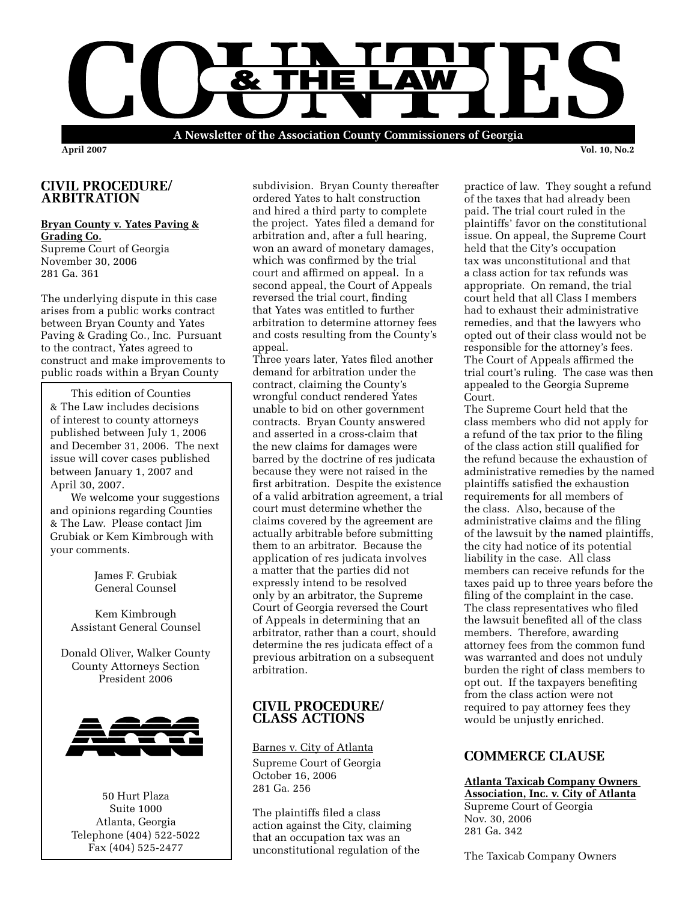

**April 2007 Vol. 10, No.2**

## **CIVIL PROCEDURE/ ARBITRATION**

### **Bryan County v. Yates Paving & Grading Co.**

Supreme Court of Georgia November 30, 2006 281 Ga. 361

The underlying dispute in this case arises from a public works contract between Bryan County and Yates Paving & Grading Co., Inc. Pursuant to the contract, Yates agreed to construct and make improvements to public roads within a Bryan County

This edition of Counties & The Law includes decisions of interest to county attorneys published between July 1, 2006 and December 31, 2006. The next issue will cover cases published between January 1, 2007 and April 30, 2007.

We welcome your suggestions and opinions regarding Counties & The Law. Please contact Jim Grubiak or Kem Kimbrough with your comments.

> James F. Grubiak General Counsel

Kem Kimbrough Assistant General Counsel

Donald Oliver, Walker County County Attorneys Section President 2006



50 Hurt Plaza Suite 1000 Atlanta, Georgia Telephone (404) 522-5022 Fax (404) 525-2477

subdivision. Bryan County thereafter ordered Yates to halt construction and hired a third party to complete the project. Yates filed a demand for arbitration and, after a full hearing, won an award of monetary damages, which was confirmed by the trial court and affirmed on appeal. In a second appeal, the Court of Appeals reversed the trial court, finding that Yates was entitled to further arbitration to determine attorney fees and costs resulting from the County's appeal.

Three years later, Yates filed another demand for arbitration under the contract, claiming the County's wrongful conduct rendered Yates unable to bid on other government contracts. Bryan County answered and asserted in a cross-claim that the new claims for damages were barred by the doctrine of res judicata because they were not raised in the first arbitration. Despite the existence of a valid arbitration agreement, a trial court must determine whether the claims covered by the agreement are actually arbitrable before submitting them to an arbitrator. Because the application of res judicata involves a matter that the parties did not expressly intend to be resolved only by an arbitrator, the Supreme Court of Georgia reversed the Court of Appeals in determining that an arbitrator, rather than a court, should determine the res judicata effect of a previous arbitration on a subsequent arbitration.

## **CIVIL PROCEDURE/ CLASS ACTIONS**

Barnes v. City of Atlanta

Supreme Court of Georgia October 16, 2006 281 Ga. 256

The plaintiffs filed a class action against the City, claiming that an occupation tax was an unconstitutional regulation of the practice of law. They sought a refund of the taxes that had already been paid. The trial court ruled in the plaintiffs' favor on the constitutional issue. On appeal, the Supreme Court held that the City's occupation tax was unconstitutional and that a class action for tax refunds was appropriate. On remand, the trial court held that all Class I members had to exhaust their administrative remedies, and that the lawyers who opted out of their class would not be responsible for the attorney's fees. The Court of Appeals affirmed the trial court's ruling. The case was then appealed to the Georgia Supreme Court.

The Supreme Court held that the class members who did not apply for a refund of the tax prior to the filing of the class action still qualified for the refund because the exhaustion of administrative remedies by the named plaintiffs satisfied the exhaustion requirements for all members of the class. Also, because of the administrative claims and the filing of the lawsuit by the named plaintiffs, the city had notice of its potential liability in the case. All class members can receive refunds for the taxes paid up to three years before the filing of the complaint in the case. The class representatives who filed the lawsuit benefited all of the class members. Therefore, awarding attorney fees from the common fund was warranted and does not unduly burden the right of class members to opt out. If the taxpayers benefiting from the class action were not required to pay attorney fees they would be unjustly enriched.

# **COMMERCE CLAUSE**

**Atlanta Taxicab Company Owners Association, Inc. v. City of Atlanta** Supreme Court of Georgia Nov. 30, 2006 281 Ga. 342

The Taxicab Company Owners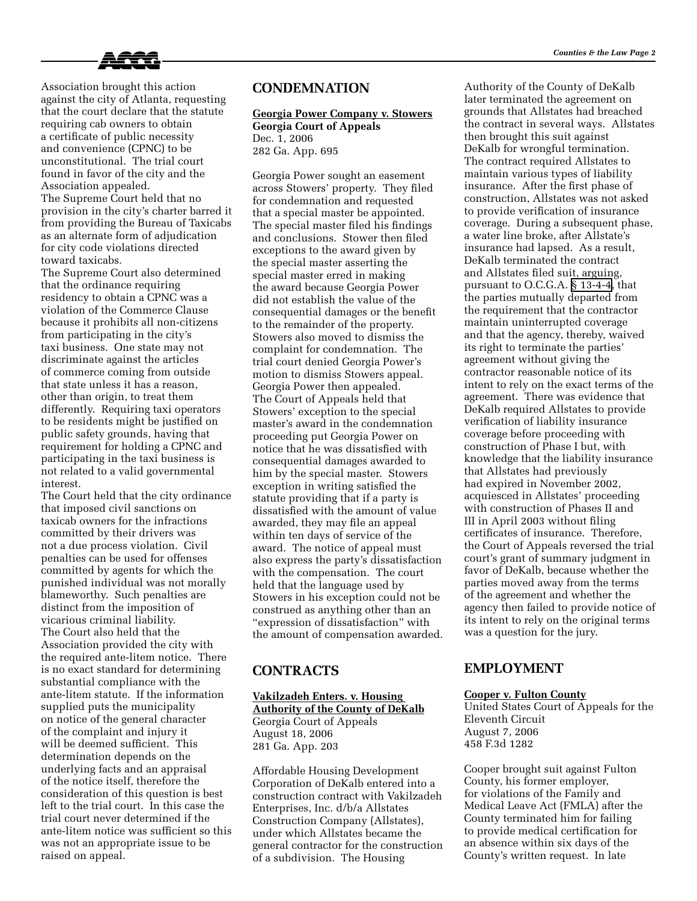

Association brought this action against the city of Atlanta, requesting that the court declare that the statute requiring cab owners to obtain a certificate of public necessity and convenience (CPNC) to be unconstitutional. The trial court found in favor of the city and the Association appealed. The Supreme Court held that no provision in the city's charter barred it from providing the Bureau of Taxicabs as an alternate form of adjudication for city code violations directed toward taxicabs.

The Supreme Court also determined that the ordinance requiring residency to obtain a CPNC was a violation of the Commerce Clause because it prohibits all non-citizens from participating in the city's taxi business. One state may not discriminate against the articles of commerce coming from outside that state unless it has a reason, other than origin, to treat them differently. Requiring taxi operators to be residents might be justified on public safety grounds, having that requirement for holding a CPNC and participating in the taxi business is not related to a valid governmental interest.

The Court held that the city ordinance that imposed civil sanctions on taxicab owners for the infractions committed by their drivers was not a due process violation. Civil penalties can be used for offenses committed by agents for which the punished individual was not morally blameworthy. Such penalties are distinct from the imposition of vicarious criminal liability. The Court also held that the Association provided the city with the required ante-litem notice. There is no exact standard for determining substantial compliance with the ante-litem statute. If the information supplied puts the municipality on notice of the general character of the complaint and injury it will be deemed sufficient. This determination depends on the underlying facts and an appraisal of the notice itself, therefore the consideration of this question is best left to the trial court. In this case the trial court never determined if the ante-litem notice was sufficient so this was not an appropriate issue to be raised on appeal.

## **CONDEMNATION**

**Georgia Power Company v. Stowers Georgia Court of Appeals** Dec. 1, 2006 282 Ga. App. 695

Georgia Power sought an easement across Stowers' property. They filed for condemnation and requested that a special master be appointed. The special master filed his findings and conclusions. Stower then filed exceptions to the award given by the special master asserting the special master erred in making the award because Georgia Power did not establish the value of the consequential damages or the benefit to the remainder of the property. Stowers also moved to dismiss the complaint for condemnation. The trial court denied Georgia Power's motion to dismiss Stowers appeal. Georgia Power then appealed. The Court of Appeals held that Stowers' exception to the special master's award in the condemnation proceeding put Georgia Power on notice that he was dissatisfied with consequential damages awarded to him by the special master. Stowers exception in writing satisfied the statute providing that if a party is dissatisfied with the amount of value awarded, they may file an appeal within ten days of service of the award. The notice of appeal must also express the party's dissatisfaction with the compensation. The court held that the language used by Stowers in his exception could not be construed as anything other than an "expression of dissatisfaction" with the amount of compensation awarded.

## **CONTRACTS**

#### **Vakilzadeh Enters. v. Housing**

**Authority of the County of DeKalb** Georgia Court of Appeals August 18, 2006 281 Ga. App. 203

Affordable Housing Development Corporation of DeKalb entered into a construction contract with Vakilzadeh Enterprises, Inc. d/b/a Allstates Construction Company (Allstates), under which Allstates became the general contractor for the construction of a subdivision. The Housing

Authority of the County of DeKalb later terminated the agreement on grounds that Allstates had breached the contract in several ways. Allstates then brought this suit against DeKalb for wrongful termination. The contract required Allstates to maintain various types of liability insurance. After the first phase of construction, Allstates was not asked to provide verification of insurance coverage. During a subsequent phase, a water line broke, after Allstate's insurance had lapsed. As a result, DeKalb terminated the contract and Allstates filed suit, arguing, pursuant to O.C.G.A. [§ 13-4-4](http://www.lexis.com/research/buttonTFLink?_m=a44488ce3a62038ba58fbd2806787ed0&_xfercite=%3ccite%20cc%3d%22USA%22%3e%3c%21%5bCDATA%5b281%20Ga.%20App.%20203%5d%5d%3e%3c%2fcite%3e&_butType=4&_butStat=0&_butNum=3&_butInline=1&_butinfo=GACODE%2013-4-4&_fmtstr=FULL&docnum=8&_startdoc=1&wchp=dGLbVtb-zSkAz&_md5=5667500a594591c8932d5b9d9037afcb), that the parties mutually departed from the requirement that the contractor maintain uninterrupted coverage and that the agency, thereby, waived its right to terminate the parties' agreement without giving the contractor reasonable notice of its intent to rely on the exact terms of the agreement. There was evidence that DeKalb required Allstates to provide verification of liability insurance coverage before proceeding with construction of Phase I but, with knowledge that the liability insurance that Allstates had previously had expired in November 2002, acquiesced in Allstates' proceeding with construction of Phases II and III in April 2003 without filing certificates of insurance. Therefore, the Court of Appeals reversed the trial court's grant of summary judgment in favor of DeKalb, because whether the parties moved away from the terms of the agreement and whether the agency then failed to provide notice of its intent to rely on the original terms was a question for the jury.

## **EMPLOYMENT**

#### **Cooper v. Fulton County**

United States Court of Appeals for the Eleventh Circuit August 7, 2006 458 F.3d 1282

Cooper brought suit against Fulton County, his former employer, for violations of the Family and Medical Leave Act (FMLA) after the County terminated him for failing to provide medical certification for an absence within six days of the County's written request. In late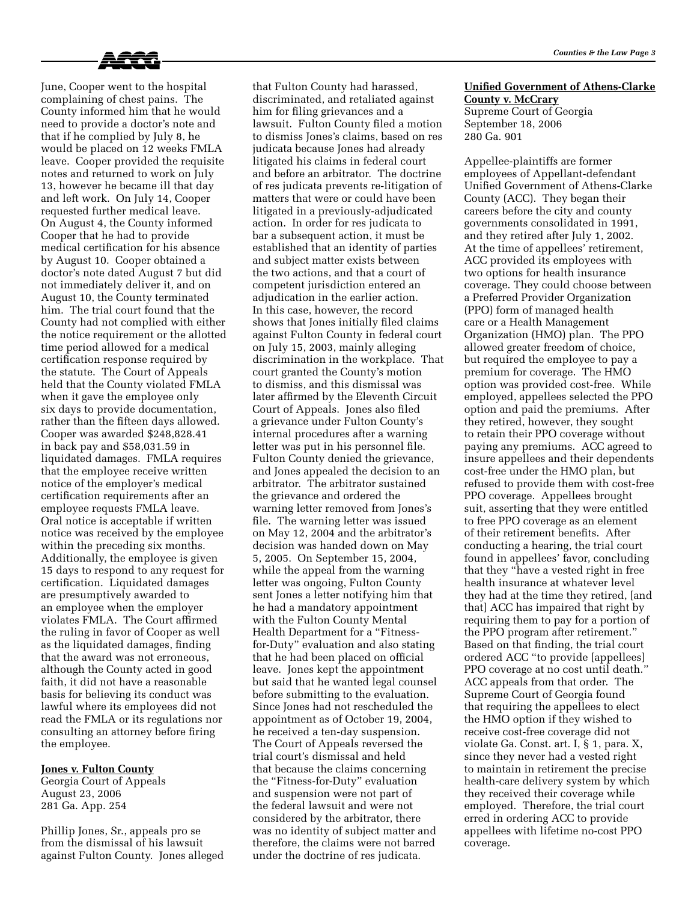

June, Cooper went to the hospital complaining of chest pains. The County informed him that he would need to provide a doctor's note and that if he complied by July 8, he would be placed on 12 weeks FMLA leave. Cooper provided the requisite notes and returned to work on July 13, however he became ill that day and left work. On July 14, Cooper requested further medical leave. On August 4, the County informed Cooper that he had to provide medical certification for his absence by August 10. Cooper obtained a doctor's note dated August 7 but did not immediately deliver it, and on August 10, the County terminated him. The trial court found that the County had not complied with either the notice requirement or the allotted time period allowed for a medical certification response required by the statute. The Court of Appeals held that the County violated FMLA when it gave the employee only six days to provide documentation, rather than the fifteen days allowed. Cooper was awarded \$248,828.41 in back pay and \$58,031.59 in liquidated damages. FMLA requires that the employee receive written notice of the employer's medical certification requirements after an employee requests FMLA leave. Oral notice is acceptable if written notice was received by the employee within the preceding six months. Additionally, the employee is given 15 days to respond to any request for certification. Liquidated damages are presumptively awarded to an employee when the employer violates FMLA. The Court affirmed the ruling in favor of Cooper as well as the liquidated damages, finding that the award was not erroneous, although the County acted in good faith, it did not have a reasonable basis for believing its conduct was lawful where its employees did not read the FMLA or its regulations nor consulting an attorney before firing the employee.

#### **Jones v. Fulton County**

Georgia Court of Appeals August 23, 2006 281 Ga. App. 254

Phillip Jones, Sr., appeals pro se from the dismissal of his lawsuit against Fulton County. Jones alleged that Fulton County had harassed, discriminated, and retaliated against him for filing grievances and a lawsuit. Fulton County filed a motion to dismiss Jones's claims, based on res judicata because Jones had already litigated his claims in federal court and before an arbitrator. The doctrine of res judicata prevents re-litigation of matters that were or could have been litigated in a previously-adjudicated action. In order for res judicata to bar a subsequent action, it must be established that an identity of parties and subject matter exists between the two actions, and that a court of competent jurisdiction entered an adjudication in the earlier action. In this case, however, the record shows that Jones initially filed claims against Fulton County in federal court on July 15, 2003, mainly alleging discrimination in the workplace. That court granted the County's motion to dismiss, and this dismissal was later affirmed by the Eleventh Circuit Court of Appeals. Jones also filed a grievance under Fulton County's internal procedures after a warning letter was put in his personnel file. Fulton County denied the grievance, and Jones appealed the decision to an arbitrator. The arbitrator sustained the grievance and ordered the warning letter removed from Jones's file. The warning letter was issued on May 12, 2004 and the arbitrator's decision was handed down on May 5, 2005. On September 15, 2004, while the appeal from the warning letter was ongoing, Fulton County sent Jones a letter notifying him that he had a mandatory appointment with the Fulton County Mental Health Department for a "Fitnessfor-Duty" evaluation and also stating that he had been placed on official leave. Jones kept the appointment but said that he wanted legal counsel before submitting to the evaluation. Since Jones had not rescheduled the appointment as of October 19, 2004, he received a ten-day suspension. The Court of Appeals reversed the trial court's dismissal and held that because the claims concerning the "Fitness-for-Duty" evaluation and suspension were not part of the federal lawsuit and were not considered by the arbitrator, there was no identity of subject matter and therefore, the claims were not barred under the doctrine of res judicata.

### **Unified Government of Athens-Clarke County v. McCrary**

Supreme Court of Georgia September 18, 2006 280 Ga. 901

Appellee-plaintiffs are former employees of Appellant-defendant Unified Government of Athens-Clarke County (ACC). They began their careers before the city and county governments consolidated in 1991, and they retired after July 1, 2002. At the time of appellees' retirement, ACC provided its employees with two options for health insurance coverage. They could choose between a Preferred Provider Organization (PPO) form of managed health care or a Health Management Organization (HMO) plan. The PPO allowed greater freedom of choice, but required the employee to pay a premium for coverage. The HMO option was provided cost-free. While employed, appellees selected the PPO option and paid the premiums. After they retired, however, they sought to retain their PPO coverage without paying any premiums. ACC agreed to insure appellees and their dependents cost-free under the HMO plan, but refused to provide them with cost-free PPO coverage. Appellees brought suit, asserting that they were entitled to free PPO coverage as an element of their retirement benefits. After conducting a hearing, the trial court found in appellees' favor, concluding that they "have a vested right in free health insurance at whatever level they had at the time they retired, [and that] ACC has impaired that right by requiring them to pay for a portion of the PPO program after retirement." Based on that finding, the trial court ordered ACC "to provide [appellees] PPO coverage at no cost until death." ACC appeals from that order. The Supreme Court of Georgia found that requiring the appellees to elect the HMO option if they wished to receive cost-free coverage did not violate Ga. Const. art. I, § 1, para. X, since they never had a vested right to maintain in retirement the precise health-care delivery system by which they received their coverage while employed. Therefore, the trial court erred in ordering ACC to provide appellees with lifetime no-cost PPO coverage.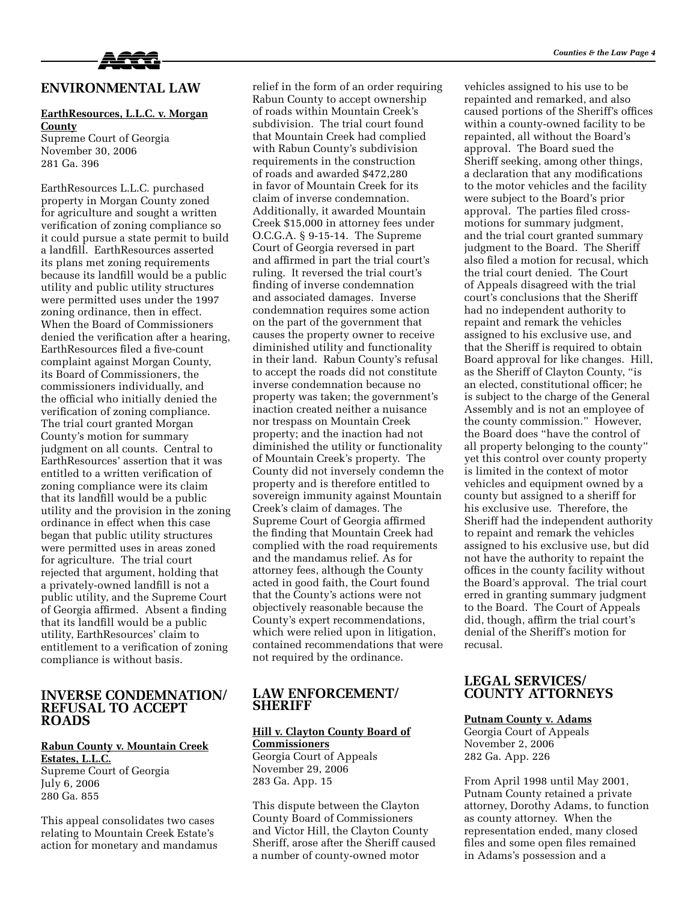

### **ENVIRONMENTAL LAW**

#### **EarthResources, L.L.C. v. Morgan County**

Supreme Court of Georgia November 30, 2006 281 Ga. 396

EarthResources L.L.C. purchased property in Morgan County zoned for agriculture and sought a written verification of zoning compliance so it could pursue a state permit to build a landfill. EarthResources asserted its plans met zoning requirements because its landfill would be a public utility and public utility structures were permitted uses under the 1997 zoning ordinance, then in effect. When the Board of Commissioners denied the verification after a hearing, EarthResources filed a five-count complaint against Morgan County, its Board of Commissioners, the commissioners individually, and the official who initially denied the verification of zoning compliance. The trial court granted Morgan County's motion for summary judgment on all counts. Central to EarthResources' assertion that it was entitled to a written verification of zoning compliance were its claim that its landfill would be a public utility and the provision in the zoning ordinance in effect when this case began that public utility structures were permitted uses in areas zoned for agriculture. The trial court rejected that argument, holding that a privately-owned landfill is not a public utility, and the Supreme Court of Georgia affirmed. Absent a finding that its landfill would be a public utility, EarthResources' claim to entitlement to a verification of zoning compliance is without basis.

### **INVERSE CONDEMNATION/ REFUSAL TO ACCEPT ROADS**

### **Rabun County v. Mountain Creek Estates, L.L.C.**

Supreme Court of Georgia July 6, 2006 280 Ga. 855

This appeal consolidates two cases relating to Mountain Creek Estate's action for monetary and mandamus relief in the form of an order requiring Rabun County to accept ownership of roads within Mountain Creek's subdivision. The trial court found that Mountain Creek had complied with Rabun County's subdivision requirements in the construction of roads and awarded \$472,280 in favor of Mountain Creek for its claim of inverse condemnation. Additionally, it awarded Mountain Creek \$15,000 in attorney fees under O.C.G.A. § 9-15-14. The Supreme Court of Georgia reversed in part and affirmed in part the trial court's ruling. It reversed the trial court's finding of inverse condemnation and associated damages. Inverse condemnation requires some action on the part of the government that causes the property owner to receive diminished utility and functionality in their land. Rabun County's refusal to accept the roads did not constitute inverse condemnation because no property was taken; the government's inaction created neither a nuisance nor trespass on Mountain Creek property; and the inaction had not diminished the utility or functionality of Mountain Creek's property. The County did not inversely condemn the property and is therefore entitled to sovereign immunity against Mountain Creek's claim of damages. The Supreme Court of Georgia affirmed the finding that Mountain Creek had complied with the road requirements and the mandamus relief. As for attorney fees, although the County acted in good faith, the Court found that the County's actions were not objectively reasonable because the County's expert recommendations, which were relied upon in litigation, contained recommendations that were not required by the ordinance.

### **LAW ENFORCEMENT/ SHERIFF**

## **Hill v. Clayton County Board of Commissioners**

Georgia Court of Appeals November 29, 2006 283 Ga. App. 15

This dispute between the Clayton County Board of Commissioners and Victor Hill, the Clayton County Sheriff, arose after the Sheriff caused a number of county-owned motor

vehicles assigned to his use to be repainted and remarked, and also caused portions of the Sheriff's offices within a county-owned facility to be repainted, all without the Board's approval. The Board sued the Sheriff seeking, among other things, a declaration that any modifications to the motor vehicles and the facility were subject to the Board's prior approval. The parties filed crossmotions for summary judgment, and the trial court granted summary judgment to the Board. The Sheriff also filed a motion for recusal, which the trial court denied. The Court of Appeals disagreed with the trial court's conclusions that the Sheriff had no independent authority to repaint and remark the vehicles assigned to his exclusive use, and that the Sheriff is required to obtain Board approval for like changes. Hill, as the Sheriff of Clayton County, "is an elected, constitutional officer; he is subject to the charge of the General Assembly and is not an employee of the county commission." However, the Board does "have the control of all property belonging to the county" yet this control over county property is limited in the context of motor vehicles and equipment owned by a county but assigned to a sheriff for his exclusive use. Therefore, the Sheriff had the independent authority to repaint and remark the vehicles assigned to his exclusive use, but did not have the authority to repaint the offices in the county facility without the Board's approval. The trial court erred in granting summary judgment to the Board. The Court of Appeals did, though, affirm the trial court's denial of the Sheriff's motion for recusal.

### **LEGAL SERVICES/ COUNTY ATTORNEYS**

#### **Putnam County v. Adams**

Georgia Court of Appeals November 2, 2006 282 Ga. App. 226

From April 1998 until May 2001, Putnam County retained a private attorney, Dorothy Adams, to function as county attorney. When the representation ended, many closed files and some open files remained in Adams's possession and a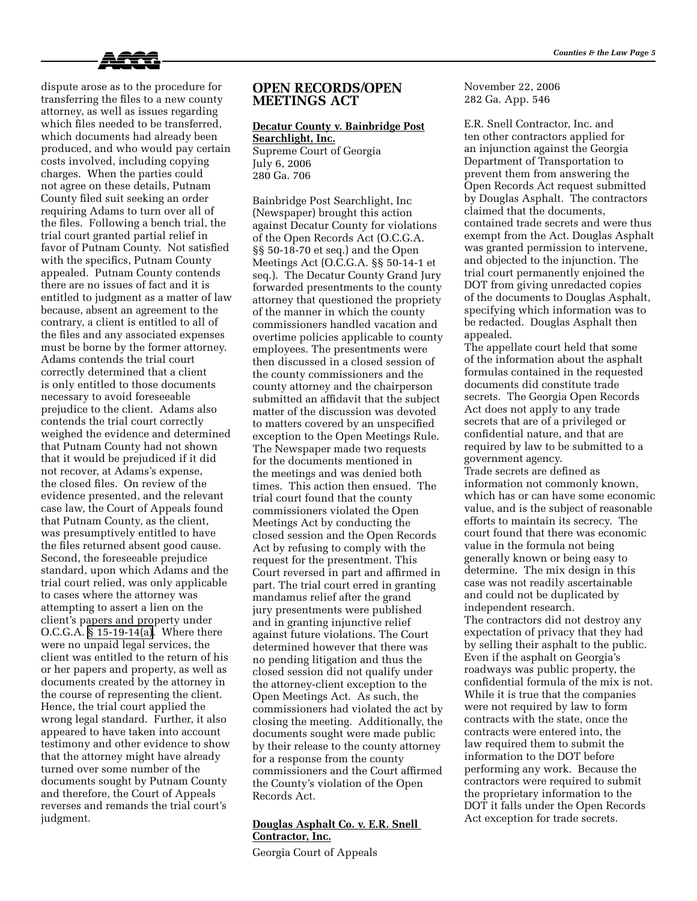

dispute arose as to the procedure for transferring the files to a new county attorney, as well as issues regarding which files needed to be transferred, which documents had already been produced, and who would pay certain costs involved, including copying charges. When the parties could not agree on these details, Putnam County filed suit seeking an order requiring Adams to turn over all of the files. Following a bench trial, the trial court granted partial relief in favor of Putnam County. Not satisfied with the specifics, Putnam County appealed. Putnam County contends there are no issues of fact and it is entitled to judgment as a matter of law because, absent an agreement to the contrary, a client is entitled to all of the files and any associated expenses must be borne by the former attorney. Adams contends the trial court correctly determined that a client is only entitled to those documents necessary to avoid foreseeable prejudice to the client. Adams also contends the trial court correctly weighed the evidence and determined that Putnam County had not shown that it would be prejudiced if it did not recover, at Adams's expense, the closed files. On review of the evidence presented, and the relevant case law, the Court of Appeals found that Putnam County, as the client, was presumptively entitled to have the files returned absent good cause. Second, the foreseeable prejudice standard, upon which Adams and the trial court relied, was only applicable to cases where the attorney was attempting to assert a lien on the client's papers and property under O.C.G.A. [§ 15-19-14\(a\)](http://www.lexis.com/research/buttonTFLink?_m=0899b9d5dc4b0427ebbd7dbb55dd5adb&_xfercite=%3ccite%20cc%3d%22USA%22%3e%3c%21%5bCDATA%5b2006%20Ga.%20App.%20LEXIS%201362%5d%5d%3e%3c%2fcite%3e&_butType=4&_butStat=0&_butNum=2&_butInline=1&_butinfo=GACODE%2015-19-14&_fmtstr=FULL&docnum=2&_startdoc=1&wchp=dGLbVtz-zSkAz&_md5=d39610c721084922e3802bcc93c2870c). Where there were no unpaid legal services, the client was entitled to the return of his or her papers and property, as well as documents created by the attorney in the course of representing the client. Hence, the trial court applied the wrong legal standard. Further, it also appeared to have taken into account testimony and other evidence to show that the attorney might have already turned over some number of the documents sought by Putnam County and therefore, the Court of Appeals reverses and remands the trial court's judgment.

### **OPEN RECORDS/OPEN MEETINGS ACT**

## **Decatur County v. Bainbridge Post Searchlight, Inc.**

Supreme Court of Georgia July 6, 2006 280 Ga. 706

Bainbridge Post Searchlight, Inc (Newspaper) brought this action against Decatur County for violations of the Open Records Act (O.C.G.A. §§ 50-18-70 et seq.) and the Open Meetings Act (O.C.G.A. §§ 50-14-1 et seq.). The Decatur County Grand Jury forwarded presentments to the county attorney that questioned the propriety of the manner in which the county commissioners handled vacation and overtime policies applicable to county employees. The presentments were then discussed in a closed session of the county commissioners and the county attorney and the chairperson submitted an affidavit that the subject matter of the discussion was devoted to matters covered by an unspecified exception to the Open Meetings Rule. The Newspaper made two requests for the documents mentioned in the meetings and was denied both times. This action then ensued. The trial court found that the county commissioners violated the Open Meetings Act by conducting the closed session and the Open Records Act by refusing to comply with the request for the presentment. This Court reversed in part and affirmed in part. The trial court erred in granting mandamus relief after the grand jury presentments were published and in granting injunctive relief against future violations. The Court determined however that there was no pending litigation and thus the closed session did not qualify under the attorney-client exception to the Open Meetings Act. As such, the commissioners had violated the act by closing the meeting. Additionally, the documents sought were made public by their release to the county attorney for a response from the county commissioners and the Court affirmed the County's violation of the Open Records Act.

### **Douglas Asphalt Co. v. E.R. Snell Contractor, Inc.**

Georgia Court of Appeals

November 22, 2006 282 Ga. App. 546

E.R. Snell Contractor, Inc. and ten other contractors applied for an injunction against the Georgia Department of Transportation to prevent them from answering the Open Records Act request submitted by Douglas Asphalt. The contractors claimed that the documents, contained trade secrets and were thus exempt from the Act. Douglas Asphalt was granted permission to intervene, and objected to the injunction. The trial court permanently enjoined the DOT from giving unredacted copies of the documents to Douglas Asphalt, specifying which information was to be redacted. Douglas Asphalt then appealed.

The appellate court held that some of the information about the asphalt formulas contained in the requested documents did constitute trade secrets. The Georgia Open Records Act does not apply to any trade secrets that are of a privileged or confidential nature, and that are required by law to be submitted to a government agency.

Trade secrets are defined as information not commonly known, which has or can have some economic value, and is the subject of reasonable efforts to maintain its secrecy. The court found that there was economic value in the formula not being generally known or being easy to determine. The mix design in this case was not readily ascertainable and could not be duplicated by independent research. The contractors did not destroy any expectation of privacy that they had by selling their asphalt to the public. Even if the asphalt on Georgia's roadways was public property, the confidential formula of the mix is not. While it is true that the companies were not required by law to form contracts with the state, once the contracts were entered into, the law required them to submit the information to the DOT before performing any work. Because the contractors were required to submit the proprietary information to the DOT it falls under the Open Records Act exception for trade secrets.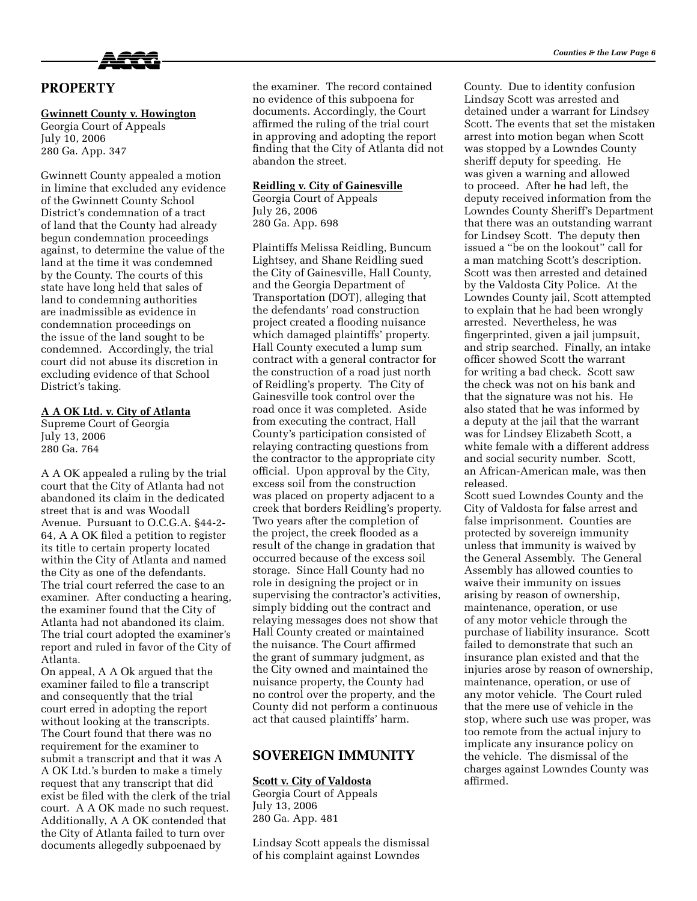

# **PROPERTY**

#### **Gwinnett County v. Howington**

Georgia Court of Appeals July 10, 2006 280 Ga. App. 347

Gwinnett County appealed a motion in limine that excluded any evidence of the Gwinnett County School District's condemnation of a tract of land that the County had already begun condemnation proceedings against, to determine the value of the land at the time it was condemned by the County. The courts of this state have long held that sales of land to condemning authorities are inadmissible as evidence in condemnation proceedings on the issue of the land sought to be condemned. Accordingly, the trial court did not abuse its discretion in excluding evidence of that School District's taking.

#### **A A OK Ltd. v. City of Atlanta**

Supreme Court of Georgia July 13, 2006 280 Ga. 764

A A OK appealed a ruling by the trial court that the City of Atlanta had not abandoned its claim in the dedicated street that is and was Woodall Avenue. Pursuant to O.C.G.A. §44-2- 64, A A OK filed a petition to register its title to certain property located within the City of Atlanta and named the City as one of the defendants. The trial court referred the case to an examiner. After conducting a hearing, the examiner found that the City of Atlanta had not abandoned its claim. The trial court adopted the examiner's report and ruled in favor of the City of Atlanta.

On appeal, A A Ok argued that the examiner failed to file a transcript and consequently that the trial court erred in adopting the report without looking at the transcripts. The Court found that there was no requirement for the examiner to submit a transcript and that it was A A OK Ltd.'s burden to make a timely request that any transcript that did exist be filed with the clerk of the trial court. A A OK made no such request. Additionally, A A OK contended that the City of Atlanta failed to turn over documents allegedly subpoenaed by

the examiner. The record contained no evidence of this subpoena for documents. Accordingly, the Court affirmed the ruling of the trial court in approving and adopting the report finding that the City of Atlanta did not abandon the street.

#### **Reidling v. City of Gainesville**

Georgia Court of Appeals July 26, 2006 280 Ga. App. 698

Plaintiffs Melissa Reidling, Buncum Lightsey, and Shane Reidling sued the City of Gainesville, Hall County, and the Georgia Department of Transportation (DOT), alleging that the defendants' road construction project created a flooding nuisance which damaged plaintiffs' property. Hall County executed a lump sum contract with a general contractor for the construction of a road just north of Reidling's property. The City of Gainesville took control over the road once it was completed. Aside from executing the contract, Hall County's participation consisted of relaying contracting questions from the contractor to the appropriate city official. Upon approval by the City, excess soil from the construction was placed on property adjacent to a creek that borders Reidling's property. Two years after the completion of the project, the creek flooded as a result of the change in gradation that occurred because of the excess soil storage. Since Hall County had no role in designing the project or in supervising the contractor's activities, simply bidding out the contract and relaying messages does not show that Hall County created or maintained the nuisance. The Court affirmed the grant of summary judgment, as the City owned and maintained the nuisance property, the County had no control over the property, and the County did not perform a continuous act that caused plaintiffs' harm.

## **SOVEREIGN IMMUNITY**

## **Scott v. City of Valdosta**

Georgia Court of Appeals July 13, 2006 280 Ga. App. 481

Lindsay Scott appeals the dismissal of his complaint against Lowndes

County. Due to identity confusion Linds*a*y Scott was arrested and detained under a warrant for Linds*e*y Scott. The events that set the mistaken arrest into motion began when Scott was stopped by a Lowndes County sheriff deputy for speeding. He was given a warning and allowed to proceed. After he had left, the deputy received information from the Lowndes County Sheriff's Department that there was an outstanding warrant for Lindsey Scott. The deputy then issued a "be on the lookout" call for a man matching Scott's description. Scott was then arrested and detained by the Valdosta City Police. At the Lowndes County jail, Scott attempted to explain that he had been wrongly arrested. Nevertheless, he was fingerprinted, given a jail jumpsuit, and strip searched. Finally, an intake officer showed Scott the warrant for writing a bad check. Scott saw the check was not on his bank and that the signature was not his. He also stated that he was informed by a deputy at the jail that the warrant was for Lindsey Elizabeth Scott, a white female with a different address and social security number. Scott, an African-American male, was then released.

Scott sued Lowndes County and the City of Valdosta for false arrest and false imprisonment. Counties are protected by sovereign immunity unless that immunity is waived by the General Assembly. The General Assembly has allowed counties to waive their immunity on issues arising by reason of ownership, maintenance, operation, or use of any motor vehicle through the purchase of liability insurance. Scott failed to demonstrate that such an insurance plan existed and that the injuries arose by reason of ownership, maintenance, operation, or use of any motor vehicle. The Court ruled that the mere use of vehicle in the stop, where such use was proper, was too remote from the actual injury to implicate any insurance policy on the vehicle. The dismissal of the charges against Lowndes County was affirmed.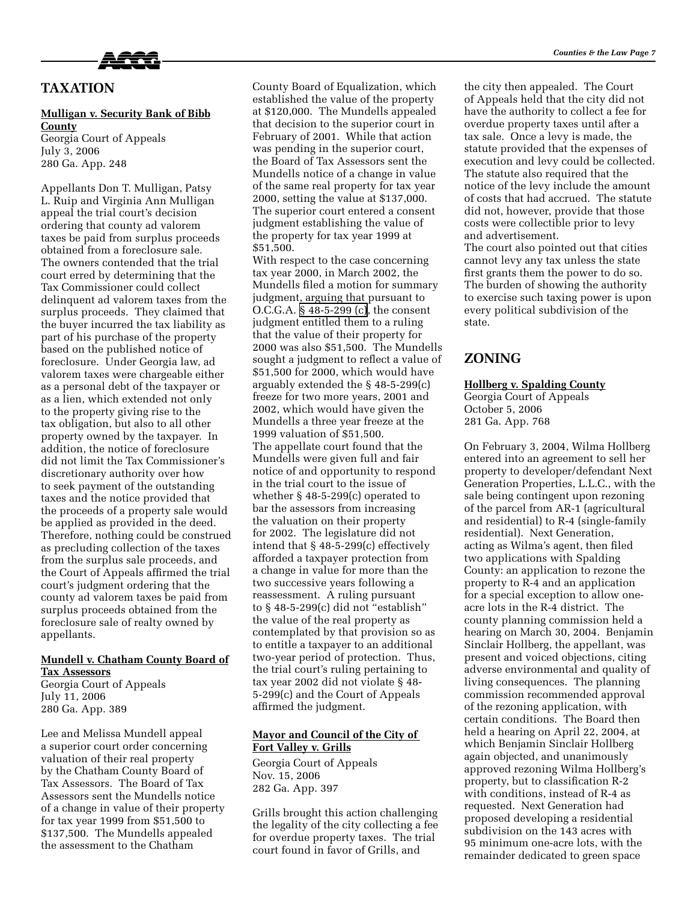

# **TAXATION**

#### **Mulligan v. Security Bank of Bibb County**

Georgia Court of Appeals July 3, 2006 280 Ga. App. 248

Appellants Don T. Mulligan, Patsy L. Ruip and Virginia Ann Mulligan appeal the trial court's decision ordering that county ad valorem taxes be paid from surplus proceeds obtained from a foreclosure sale. The owners contended that the trial court erred by determining that the Tax Commissioner could collect delinquent ad valorem taxes from the surplus proceeds. They claimed that the buyer incurred the tax liability as part of his purchase of the property based on the published notice of foreclosure. Under Georgia law, ad valorem taxes were chargeable either as a personal debt of the taxpayer or as a lien, which extended not only to the property giving rise to the tax obligation, but also to all other property owned by the taxpayer. In addition, the notice of foreclosure did not limit the Tax Commissioner's discretionary authority over how to seek payment of the outstanding taxes and the notice provided that the proceeds of a property sale would be applied as provided in the deed. Therefore, nothing could be construed as precluding collection of the taxes from the surplus sale proceeds, and the Court of Appeals affirmed the trial court's judgment ordering that the county ad valorem taxes be paid from surplus proceeds obtained from the foreclosure sale of realty owned by appellants.

## **Mundell v. Chatham County Board of**

**Tax Assessors** Georgia Court of Appeals July 11, 2006 280 Ga. App. 389

Lee and Melissa Mundell appeal a superior court order concerning valuation of their real property by the Chatham County Board of Tax Assessors. The Board of Tax Assessors sent the Mundells notice of a change in value of their property for tax year 1999 from \$51,500 to \$137,500. The Mundells appealed the assessment to the Chatham

County Board of Equalization, which established the value of the property at \$120,000. The Mundells appealed that decision to the superior court in February of 2001. While that action was pending in the superior court, the Board of Tax Assessors sent the Mundells notice of a change in value of the same real property for tax year 2000, setting the value at \$137,000. The superior court entered a consent judgment establishing the value of the property for tax year 1999 at \$51,500.

With respect to the case concerning tax year 2000, in March 2002, the Mundells filed a motion for summary judgment, arguing that pursuant to O.C.G.A. [§ 48-5-299 \(c\),](http://www.lexis.com/research/buttonTFLink?_m=fb47163bf9cd14a4e3ec2eee20776cf8&_xfercite=%3ccite%20cc%3d%22USA%22%3e%3c%21%5bCDATA%5b280%20Ga.%20App.%20389%5d%5d%3e%3c%2fcite%3e&_butType=4&_butStat=0&_butNum=9&_butInline=1&_butinfo=O.C.G.A.%2048-5-299&_fmtstr=FULL&docnum=12&_startdoc=11&wchp=dGLbVtz-zSkAz&_md5=c7b5b3dbb209a306bdce40d2abaa43b7) the consent judgment entitled them to a ruling that the value of their property for 2000 was also \$51,500. The Mundells sought a judgment to reflect a value of \$51,500 for 2000, which would have arguably extended the § 48-5-299(c) freeze for two more years, 2001 and 2002, which would have given the Mundells a three year freeze at the 1999 valuation of \$51,500. The appellate court found that the Mundells were given full and fair notice of and opportunity to respond in the trial court to the issue of whether § 48-5-299(c) operated to bar the assessors from increasing the valuation on their property for 2002. The legislature did not intend that § 48-5-299(c) effectively afforded a taxpayer protection from a change in value for more than the two successive years following a reassessment. A ruling pursuant to § 48-5-299(c) did not "establish" the value of the real property as contemplated by that provision so as to entitle a taxpayer to an additional two-year period of protection. Thus, the trial court's ruling pertaining to tax year 2002 did not violate § 48- 5-299(c) and the Court of Appeals affirmed the judgment.

#### **Mayor and Council of the City of Fort Valley v. Grills**

Georgia Court of Appeals Nov. 15, 2006 282 Ga. App. 397

Grills brought this action challenging the legality of the city collecting a fee for overdue property taxes. The trial court found in favor of Grills, and

the city then appealed. The Court of Appeals held that the city did not have the authority to collect a fee for overdue property taxes until after a tax sale. Once a levy is made, the statute provided that the expenses of execution and levy could be collected. The statute also required that the notice of the levy include the amount of costs that had accrued. The statute did not, however, provide that those costs were collectible prior to levy and advertisement.

The court also pointed out that cities cannot levy any tax unless the state first grants them the power to do so. The burden of showing the authority to exercise such taxing power is upon every political subdivision of the state.

# **ZONING**

#### **Hollberg v. Spalding County**

Georgia Court of Appeals October 5, 2006 281 Ga. App. 768

On February 3, 2004, Wilma Hollberg entered into an agreement to sell her property to developer/defendant Next Generation Properties, L.L.C., with the sale being contingent upon rezoning of the parcel from AR-1 (agricultural and residential) to R-4 (single-family residential). Next Generation, acting as Wilma's agent, then filed two applications with Spalding County: an application to rezone the property to R-4 and an application for a special exception to allow oneacre lots in the R-4 district. The county planning commission held a hearing on March 30, 2004. Benjamin Sinclair Hollberg, the appellant, was present and voiced objections, citing adverse environmental and quality of living consequences. The planning commission recommended approval of the rezoning application, with certain conditions. The Board then held a hearing on April 22, 2004, at which Benjamin Sinclair Hollberg again objected, and unanimously approved rezoning Wilma Hollberg's property, but to classification R-2 with conditions, instead of R-4 as requested. Next Generation had proposed developing a residential subdivision on the 143 acres with 95 minimum one-acre lots, with the remainder dedicated to green space